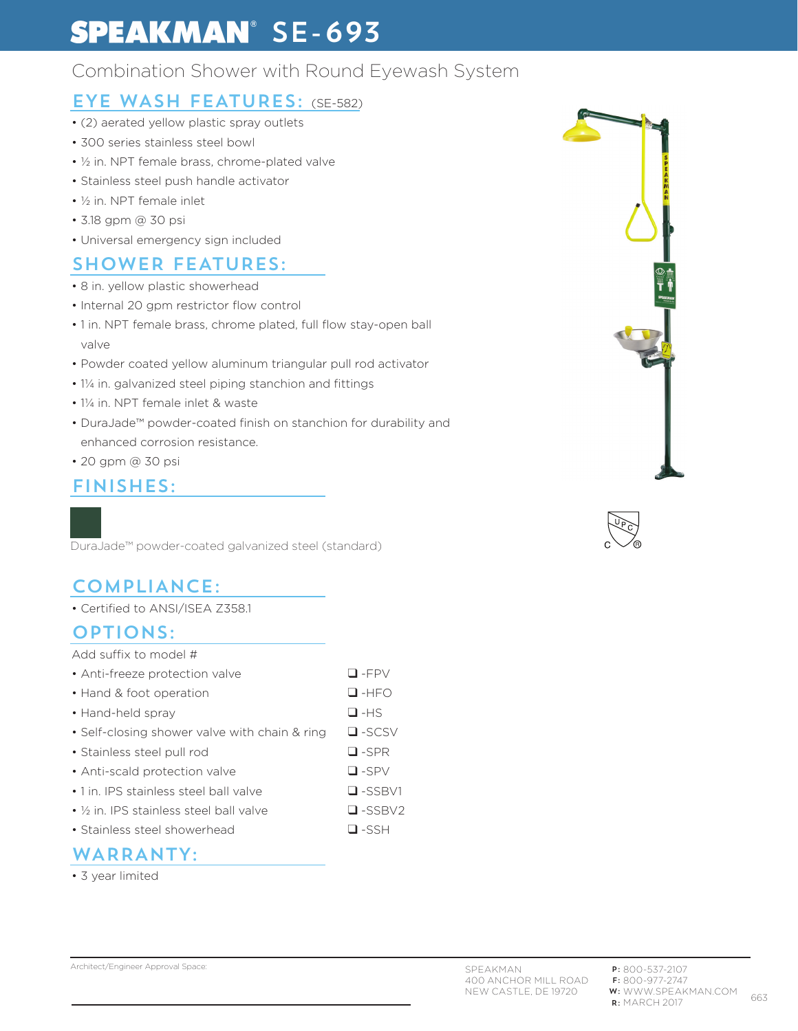# **SPEAKMAN**<sup>®</sup> SE-693

## Combination Shower with Round Eyewash System

### EYE WASH FEATURES: (SE-582)

- (2) aerated yellow plastic spray outlets
- 300 series stainless steel bowl
- ½ in. NPT female brass, chrome-plated valve
- Stainless steel push handle activator
- ½ in. NPT female inlet
- 3.18 gpm @ 30 psi
- Universal emergency sign included

### SHOWER FEATURES:

- 8 in. yellow plastic showerhead
- Internal 20 gpm restrictor flow control
- 1 in. NPT female brass, chrome plated, full flow stay-open ball valve
- Powder coated yellow aluminum triangular pull rod activator
- 1¼ in. galvanized steel piping stanchion and fittings
- 1¼ in. NPT female inlet & waste
- DuraJade™ powder-coated finish on stanchion for durability and enhanced corrosion resistance.
- 20 gpm @ 30 psi

#### FINISHES:

DuraJade™ powder-coated galvanized steel (standard)

## COMPLIANCE:

• Certified to ANSI/ISEA Z358.1

#### OPTIONS:

#### Add suffix to model #

| • Anti-freeze protection valve                | $\Box$ -FPV   |
|-----------------------------------------------|---------------|
| • Hand & foot operation                       | $\Box$ -HFO   |
| • Hand-held spray                             | $\square$ -HS |
| • Self-closing shower valve with chain & ring | $\Box$ -SCSV  |
| • Stainless steel pull rod                    | $\Box$ -SPR   |

- Anti-scald protection valve △ D -SPV
- 1 in. IPS stainless steel ball valve  $\Box$  -SSBV1
- 
- ½ in. IPS stainless steel ball valve ❑ -SSBV2
- Stainless steel showerhead ❑ -SSH

#### WARRANTY:

• 3 year limited





Architect/Engineer Approval Space: